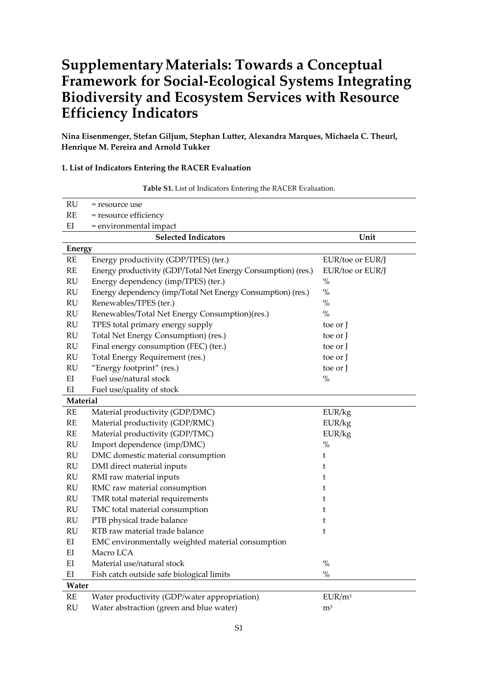# **SupplementaryMaterials: Towards a Conceptual Framework for Social‐Ecological Systems Integrating Biodiversity and Ecosystem Services with Resource Efficiency Indicators**

**Nina Eisenmenger, Stefan Giljum, Stephan Lutter, Alexandra Marques, Michaela C. Theurl, Henrique M. Pereira and Arnold Tukker**

## **1. List of Indicators Entering the RACER Evaluation**

| RU                      | = resource use                                                |                    |
|-------------------------|---------------------------------------------------------------|--------------------|
| RE                      | = resource efficiency                                         |                    |
| $\mathop{\rm EI}$       | = environmental impact                                        |                    |
|                         | <b>Selected Indicators</b>                                    | Unit               |
| <b>Energy</b>           |                                                               |                    |
| RE                      | Energy productivity (GDP/TPES) (ter.)                         | EUR/toe or EUR/J   |
| $\mathbb{R} \mathbb{E}$ | Energy productivity (GDP/Total Net Energy Consumption) (res.) | EUR/toe or EUR/J   |
| $\mathbf{RU}$           | Energy dependency (imp/TPES) (ter.)                           | $\%$               |
| RU                      | Energy dependency (imp/Total Net Energy Consumption) (res.)   | $\%$               |
| RU                      | Renewables/TPES (ter.)                                        | $\%$               |
| RU                      | Renewables/Total Net Energy Consumption)(res.)                | $\%$               |
| RU                      | TPES total primary energy supply                              | toe or J           |
| RU                      | Total Net Energy Consumption) (res.)                          | toe or J           |
| RU                      | Final energy consumption (FEC) (ter.)                         | toe or I           |
| $\mathrm{RU}$           | Total Energy Requirement (res.)                               | toe or J           |
| $\mathrm{RU}$           | "Energy footprint" (res.)                                     | toe or J           |
| EI                      | Fuel use/natural stock                                        | $\%$               |
| EI                      | Fuel use/quality of stock                                     |                    |
| Material                |                                                               |                    |
| $\mathbf{RE}$           | Material productivity (GDP/DMC)                               | EUR/kg             |
| $\mathbb{R}\mathcal{E}$ | Material productivity (GDP/RMC)                               | EUR/kg             |
| RE                      | Material productivity (GDP/TMC)                               | EUR/kg             |
| RU                      | Import dependence (imp/DMC)                                   | $\%$               |
| RU                      | DMC domestic material consumption                             | t                  |
| RU                      | DMI direct material inputs                                    | t                  |
| $\mathrm{RU}$           | RMI raw material inputs                                       | t                  |
| RU                      | RMC raw material consumption                                  | t                  |
| $\mathrm{RU}$           | TMR total material requirements                               | t                  |
| $\mathrm{RU}$           | TMC total material consumption                                | t                  |
| RU                      | PTB physical trade balance                                    | t                  |
| RU                      | RTB raw material trade balance                                | t                  |
| EI                      | EMC environmentally weighted material consumption             |                    |
| EI                      | Macro LCA                                                     |                    |
| EI                      | Material use/natural stock                                    | $\%$               |
| $\mathop{\rm EI}$       | Fish catch outside safe biological limits                     | $\%$               |
| Water                   |                                                               |                    |
| $\mathbb{R}\mathcal{E}$ | Water productivity (GDP/water appropriation)                  | EUR/m <sup>3</sup> |
| RU                      | Water abstraction (green and blue water)                      | m <sup>3</sup>     |

**Table S1.** List of Indicators Entering the RACER Evaluation.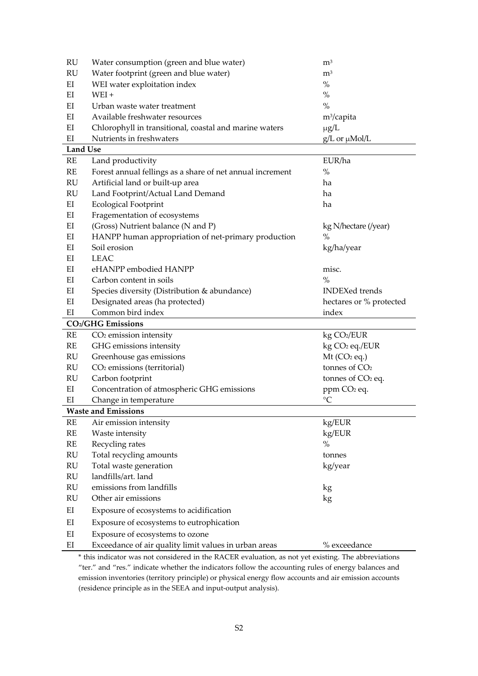| RU | Water consumption (green and blue water)               | m <sup>3</sup>       |
|----|--------------------------------------------------------|----------------------|
| RU | Water footprint (green and blue water)                 | m <sup>3</sup>       |
| ΕI | WEI water exploitation index                           | $\%$                 |
| ΕI | $WEI +$                                                | $\%$                 |
| ΕI | Urban waste water treatment                            | $\%$                 |
| EI | Available freshwater resources                         | $m^3$ /capita        |
| EI | Chlorophyll in transitional, coastal and marine waters | $\mu$ g/L            |
| EI | Nutrients in freshwaters                               | $g/L$ or $\mu$ Mol/L |

**Land Use**

| RE                      | Land productivity                                         | EUR/ha                     |
|-------------------------|-----------------------------------------------------------|----------------------------|
| $\mathbb{R} \mathbb{E}$ | Forest annual fellings as a share of net annual increment | $\%$                       |
| RU                      | Artificial land or built-up area                          | ha                         |
| RU                      | Land Footprint/Actual Land Demand                         | ha                         |
| EI                      | <b>Ecological Footprint</b>                               | ha                         |
| EI                      | Fragementation of ecosystems                              |                            |
| EI                      | (Gross) Nutrient balance (N and P)                        | kg N/hectare (/year)       |
| EI                      | HANPP human appropriation of net-primary production       | $\%$                       |
| EI                      | Soil erosion                                              | kg/ha/year                 |
| ΕI                      | <b>LEAC</b>                                               |                            |
| EI                      | eHANPP embodied HANPP                                     | misc.                      |
| EI                      | Carbon content in soils                                   | $\frac{0}{0}$              |
| EI                      | Species diversity (Distribution & abundance)              | <b>INDEXed trends</b>      |
| EI                      | Designated areas (ha protected)                           | hectares or % protected    |
| EI                      | Common bird index                                         | index                      |
|                         | <b>CO2/GHG Emissions</b>                                  |                            |
| $\mathbb{R} \mathbb{E}$ | CO <sub>2</sub> emission intensity                        | kg CO2/EUR                 |
| $\mathbb{R} \mathbb{E}$ | GHG emissions intensity                                   | kg CO <sub>2</sub> eq./EUR |
| RU                      | Greenhouse gas emissions                                  | $Mt$ (CO <sub>2</sub> eq.) |
| RU                      | CO <sub>2</sub> emissions (territorial)                   | tonnes of CO <sub>2</sub>  |
| $\mathbf{RU}$           | Carbon footprint                                          | tonnes of $CO2$ eq.        |
| EI                      | Concentration of atmospheric GHG emissions                | ppm CO <sub>2</sub> eq.    |
| EI                      | Change in temperature                                     | $\rm ^{\circ}C$            |
|                         | <b>Waste and Emissions</b>                                |                            |
| $\mathbb{R} \mathbb{E}$ | Air emission intensity                                    | kg/EUR                     |
| $\mathbf{RE}$           | Waste intensity                                           | kg/EUR                     |
| $\mathbf{RE}$           | Recycling rates                                           | $\%$                       |
| $\mathrm{RU}$           | Total recycling amounts                                   | tonnes                     |
| RU                      | Total waste generation                                    | kg/year                    |
| RU                      | landfills/art. land                                       |                            |
| RU                      | emissions from landfills                                  | kg                         |
| $\mathrm{RU}$           | Other air emissions                                       | kg                         |
| $\mathop{\rm EI}$       | Exposure of ecosystems to acidification                   |                            |
| EI                      | Exposure of ecosystems to eutrophication                  |                            |
| EI                      | Exposure of ecosystems to ozone                           |                            |
| EI                      | Exceedance of air quality limit values in urban areas     | % exceedance               |

\* this indicator was not considered in the RACER evaluation, as not yet existing. The abbreviations "ter." and "res." indicate whether the indicators follow the accounting rules of energy balances and emission inventories (territory principle) or physical energy flow accounts and air emission accounts (residence principle as in the SEEA and input‐output analysis).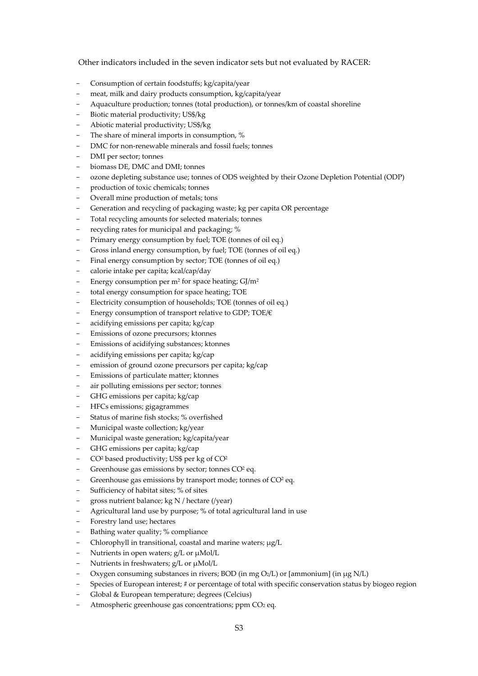Other indicators included in the seven indicator sets but not evaluated by RACER:

- Consumption of certain foodstuffs; kg/capita/year
- meat, milk and dairy products consumption, kg/capita/year
- Aquaculture production; tonnes (total production), or tonnes/km of coastal shoreline
- Biotic material productivity; US\$/kg
- Abiotic material productivity; US\$/kg
- The share of mineral imports in consumption, %
- DMC for non‐renewable minerals and fossil fuels; tonnes
- DMI per sector; tonnes
- biomass DE, DMC and DMI; tonnes
- ozone depleting substance use; tonnes of ODS weighted by their Ozone Depletion Potential (ODP)
- production of toxic chemicals; tonnes
- Overall mine production of metals; tons
- Generation and recycling of packaging waste; kg per capita OR percentage
- Total recycling amounts for selected materials; tonnes
- recycling rates for municipal and packaging; %
- Primary energy consumption by fuel; TOE (tonnes of oil eq.)
- Gross inland energy consumption, by fuel; TOE (tonnes of oil eq.)
- Final energy consumption by sector; TOE (tonnes of oil eq.)
- calorie intake per capita; kcal/cap/day
- Energy consumption per  $m^2$  for space heating;  $GI/m^2$
- total energy consumption for space heating; TOE
- Electricity consumption of households; TOE (tonnes of oil eq.)
- Energy consumption of transport relative to GDP; TOE/€
- acidifying emissions per capita; kg/cap
- Emissions of ozone precursors; ktonnes
- Emissions of acidifying substances; ktonnes
- acidifying emissions per capita; kg/cap
- emission of ground ozone precursors per capita; kg/cap
- Emissions of particulate matter; ktonnes
- air polluting emissions per sector; tonnes
- GHG emissions per capita; kg/cap
- HFCs emissions; gigagrammes
- Status of marine fish stocks; % overfished
- Municipal waste collection: kg/year
- Municipal waste generation; kg/capita/year
- GHG emissions per capita; kg/cap
- $CO<sup>2</sup>$  based productivity; US\$ per kg of  $CO<sup>2</sup>$
- Greenhouse gas emissions by sector; tonnes CO<sup>2</sup> eq.
- Greenhouse gas emissions by transport mode; tonnes of CO<sup>2</sup> eq.
- Sufficiency of habitat sites; % of sites
- gross nutrient balance; kg N / hectare (/year)
- Agricultural land use by purpose; % of total agricultural land in use
- Forestry land use; hectares
- Bathing water quality; % compliance
- Chlorophyll in transitional, coastal and marine waters; μg/L
- Nutrients in open waters; g/L or μMol/L
- Nutrients in freshwaters; g/L or μMol/L
- Oxygen consuming substances in rivers; BOD (in mg O2/L) or [ammonium] (in μg N/L)
- Species of European interest; # or percentage of total with specific conservation status by biogeo region
- Global & European temperature; degrees (Celcius)
- Atmospheric greenhouse gas concentrations; ppm CO<sub>2</sub> eq.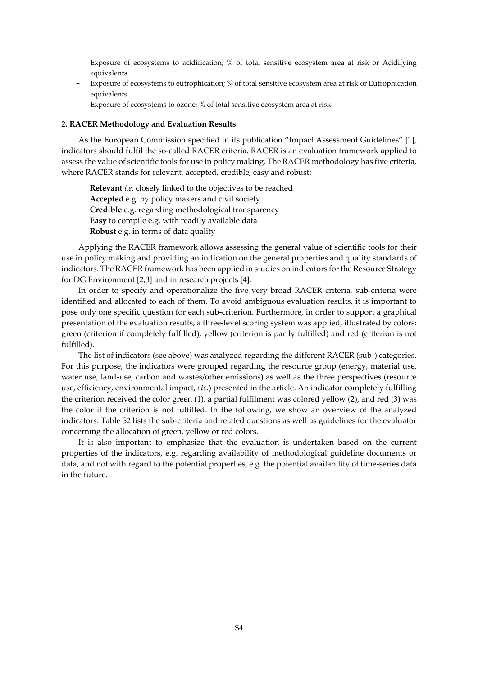- Exposure of ecosystems to acidification; % of total sensitive ecosystem area at risk or Acidifying equivalents
- Exposure of ecosystems to eutrophication; % of total sensitive ecosystem area at risk or Eutrophication equivalents
- Exposure of ecosystems to ozone; % of total sensitive ecosystem area at risk

#### **2. RACER Methodology and Evaluation Results**

As the European Commission specified in its publication "Impact Assessment Guidelines" [1], indicators should fulfil the so-called RACER criteria. RACER is an evaluation framework applied to assess the value of scientific tools for use in policy making. The RACER methodology has five criteria, where RACER stands for relevant, accepted, credible, easy and robust:

**Relevant** *i.e.* closely linked to the objectives to be reached **Accepted** e.g. by policy makers and civil society **Credible** e.g. regarding methodological transparency **Easy** to compile e.g. with readily available data **Robust** e.g. in terms of data quality

Applying the RACER framework allows assessing the general value of scientific tools for their use in policy making and providing an indication on the general properties and quality standards of indicators. The RACER framework has been applied in studies on indicators forthe Resource Strategy for DG Environment [2,3] and in research projects [4].

In order to specify and operationalize the five very broad RACER criteria, sub-criteria were identified and allocated to each of them. To avoid ambiguous evaluation results, it is important to pose only one specific question for each sub‐criterion. Furthermore, in order to support a graphical presentation of the evaluation results, a three‐level scoring system was applied, illustrated by colors: green (criterion if completely fulfilled), yellow (criterion is partly fulfilled) and red (criterion is not fulfilled).

The list of indicators (see above) was analyzed regarding the different RACER (sub‐) categories. For this purpose, the indicators were grouped regarding the resource group (energy, material use, water use, land-use, carbon and wastes/other emissions) as well as the three perspectives (resource use, efficiency, environmental impact, *etc.*) presented in the article. An indicator completely fulfilling the criterion received the color green (1), a partial fulfilment was colored yellow (2), and red (3) was the color if the criterion is not fulfilled. In the following, we show an overview of the analyzed indicators. Table S2 lists the sub‐criteria and related questions as well as guidelines for the evaluator concerning the allocation of green, yellow or red colors.

It is also important to emphasize that the evaluation is undertaken based on the current properties of the indicators, e.g. regarding availability of methodological guideline documents or data, and not with regard to the potential properties, e.g. the potential availability of time-series data in the future.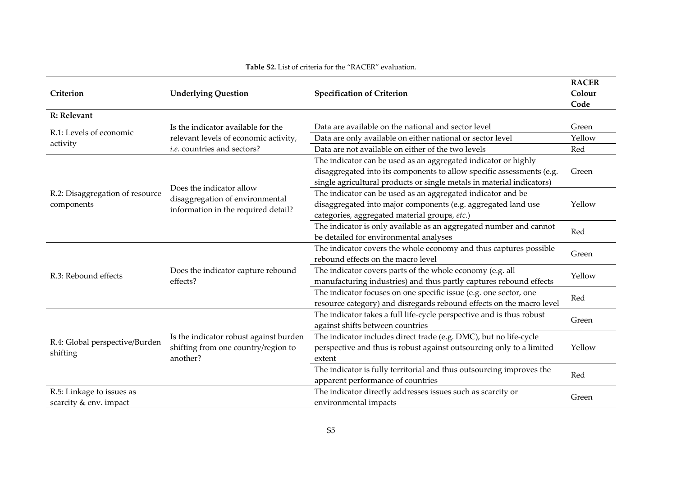|                                 | <b>Underlying Question</b>                                                                                                                                                                                                                                                                                                                                                                                                                                                                                                                                                                                                                                                                                                                                                                                                                                                                                                                                                                                                                                                                                                                                                                                                                                                                                                                                                                  |                                                                      | <b>RACER</b> |  |
|---------------------------------|---------------------------------------------------------------------------------------------------------------------------------------------------------------------------------------------------------------------------------------------------------------------------------------------------------------------------------------------------------------------------------------------------------------------------------------------------------------------------------------------------------------------------------------------------------------------------------------------------------------------------------------------------------------------------------------------------------------------------------------------------------------------------------------------------------------------------------------------------------------------------------------------------------------------------------------------------------------------------------------------------------------------------------------------------------------------------------------------------------------------------------------------------------------------------------------------------------------------------------------------------------------------------------------------------------------------------------------------------------------------------------------------|----------------------------------------------------------------------|--------------|--|
| Criterion                       |                                                                                                                                                                                                                                                                                                                                                                                                                                                                                                                                                                                                                                                                                                                                                                                                                                                                                                                                                                                                                                                                                                                                                                                                                                                                                                                                                                                             | <b>Specification of Criterion</b>                                    | Colour       |  |
|                                 |                                                                                                                                                                                                                                                                                                                                                                                                                                                                                                                                                                                                                                                                                                                                                                                                                                                                                                                                                                                                                                                                                                                                                                                                                                                                                                                                                                                             |                                                                      | Code         |  |
| R: Relevant                     |                                                                                                                                                                                                                                                                                                                                                                                                                                                                                                                                                                                                                                                                                                                                                                                                                                                                                                                                                                                                                                                                                                                                                                                                                                                                                                                                                                                             |                                                                      |              |  |
|                                 | Is the indicator available for the                                                                                                                                                                                                                                                                                                                                                                                                                                                                                                                                                                                                                                                                                                                                                                                                                                                                                                                                                                                                                                                                                                                                                                                                                                                                                                                                                          | Data are available on the national and sector level                  | Green        |  |
| R.1: Levels of economic         | relevant levels of economic activity,                                                                                                                                                                                                                                                                                                                                                                                                                                                                                                                                                                                                                                                                                                                                                                                                                                                                                                                                                                                                                                                                                                                                                                                                                                                                                                                                                       | Data are only available on either national or sector level           | Yellow       |  |
| activity                        | <i>i.e.</i> countries and sectors?<br>Data are not available on either of the two levels<br>The indicator can be used as an aggregated indicator or highly<br>disaggregated into its components to allow specific assessments (e.g.<br>single agricultural products or single metals in material indicators)<br>Does the indicator allow<br>The indicator can be used as an aggregated indicator and be<br>disaggregation of environmental<br>disaggregated into major components (e.g. aggregated land use<br>information in the required detail?<br>categories, aggregated material groups, etc.)<br>The indicator is only available as an aggregated number and cannot<br>be detailed for environmental analyses<br>The indicator covers the whole economy and thus captures possible<br>rebound effects on the macro level<br>The indicator covers parts of the whole economy (e.g. all<br>Does the indicator capture rebound<br>manufacturing industries) and thus partly captures rebound effects<br>effects?<br>The indicator focuses on one specific issue (e.g. one sector, one<br>resource category) and disregards rebound effects on the macro level<br>The indicator takes a full life-cycle perspective and is thus robust<br>against shifts between countries<br>The indicator includes direct trade (e.g. DMC), but no life-cycle<br>Is the indicator robust against burden | Red                                                                  |              |  |
|                                 |                                                                                                                                                                                                                                                                                                                                                                                                                                                                                                                                                                                                                                                                                                                                                                                                                                                                                                                                                                                                                                                                                                                                                                                                                                                                                                                                                                                             |                                                                      |              |  |
|                                 |                                                                                                                                                                                                                                                                                                                                                                                                                                                                                                                                                                                                                                                                                                                                                                                                                                                                                                                                                                                                                                                                                                                                                                                                                                                                                                                                                                                             |                                                                      | Green        |  |
|                                 |                                                                                                                                                                                                                                                                                                                                                                                                                                                                                                                                                                                                                                                                                                                                                                                                                                                                                                                                                                                                                                                                                                                                                                                                                                                                                                                                                                                             |                                                                      |              |  |
| R.2: Disaggregation of resource |                                                                                                                                                                                                                                                                                                                                                                                                                                                                                                                                                                                                                                                                                                                                                                                                                                                                                                                                                                                                                                                                                                                                                                                                                                                                                                                                                                                             |                                                                      |              |  |
| components                      |                                                                                                                                                                                                                                                                                                                                                                                                                                                                                                                                                                                                                                                                                                                                                                                                                                                                                                                                                                                                                                                                                                                                                                                                                                                                                                                                                                                             |                                                                      | Yellow       |  |
|                                 |                                                                                                                                                                                                                                                                                                                                                                                                                                                                                                                                                                                                                                                                                                                                                                                                                                                                                                                                                                                                                                                                                                                                                                                                                                                                                                                                                                                             |                                                                      |              |  |
|                                 |                                                                                                                                                                                                                                                                                                                                                                                                                                                                                                                                                                                                                                                                                                                                                                                                                                                                                                                                                                                                                                                                                                                                                                                                                                                                                                                                                                                             |                                                                      | Red          |  |
|                                 |                                                                                                                                                                                                                                                                                                                                                                                                                                                                                                                                                                                                                                                                                                                                                                                                                                                                                                                                                                                                                                                                                                                                                                                                                                                                                                                                                                                             |                                                                      |              |  |
|                                 |                                                                                                                                                                                                                                                                                                                                                                                                                                                                                                                                                                                                                                                                                                                                                                                                                                                                                                                                                                                                                                                                                                                                                                                                                                                                                                                                                                                             |                                                                      | Green        |  |
|                                 |                                                                                                                                                                                                                                                                                                                                                                                                                                                                                                                                                                                                                                                                                                                                                                                                                                                                                                                                                                                                                                                                                                                                                                                                                                                                                                                                                                                             |                                                                      |              |  |
| R.3: Rebound effects            |                                                                                                                                                                                                                                                                                                                                                                                                                                                                                                                                                                                                                                                                                                                                                                                                                                                                                                                                                                                                                                                                                                                                                                                                                                                                                                                                                                                             |                                                                      | Yellow       |  |
|                                 |                                                                                                                                                                                                                                                                                                                                                                                                                                                                                                                                                                                                                                                                                                                                                                                                                                                                                                                                                                                                                                                                                                                                                                                                                                                                                                                                                                                             |                                                                      |              |  |
|                                 |                                                                                                                                                                                                                                                                                                                                                                                                                                                                                                                                                                                                                                                                                                                                                                                                                                                                                                                                                                                                                                                                                                                                                                                                                                                                                                                                                                                             |                                                                      | Red          |  |
|                                 |                                                                                                                                                                                                                                                                                                                                                                                                                                                                                                                                                                                                                                                                                                                                                                                                                                                                                                                                                                                                                                                                                                                                                                                                                                                                                                                                                                                             |                                                                      |              |  |
|                                 | shifting from one country/region to<br>another?                                                                                                                                                                                                                                                                                                                                                                                                                                                                                                                                                                                                                                                                                                                                                                                                                                                                                                                                                                                                                                                                                                                                                                                                                                                                                                                                             |                                                                      |              |  |
|                                 |                                                                                                                                                                                                                                                                                                                                                                                                                                                                                                                                                                                                                                                                                                                                                                                                                                                                                                                                                                                                                                                                                                                                                                                                                                                                                                                                                                                             |                                                                      | Green        |  |
| R.4: Global perspective/Burden  |                                                                                                                                                                                                                                                                                                                                                                                                                                                                                                                                                                                                                                                                                                                                                                                                                                                                                                                                                                                                                                                                                                                                                                                                                                                                                                                                                                                             |                                                                      |              |  |
| shifting                        |                                                                                                                                                                                                                                                                                                                                                                                                                                                                                                                                                                                                                                                                                                                                                                                                                                                                                                                                                                                                                                                                                                                                                                                                                                                                                                                                                                                             | perspective and thus is robust against outsourcing only to a limited | Yellow       |  |
|                                 |                                                                                                                                                                                                                                                                                                                                                                                                                                                                                                                                                                                                                                                                                                                                                                                                                                                                                                                                                                                                                                                                                                                                                                                                                                                                                                                                                                                             | extent                                                               |              |  |
|                                 |                                                                                                                                                                                                                                                                                                                                                                                                                                                                                                                                                                                                                                                                                                                                                                                                                                                                                                                                                                                                                                                                                                                                                                                                                                                                                                                                                                                             | The indicator is fully territorial and thus outsourcing improves the | Red          |  |
|                                 |                                                                                                                                                                                                                                                                                                                                                                                                                                                                                                                                                                                                                                                                                                                                                                                                                                                                                                                                                                                                                                                                                                                                                                                                                                                                                                                                                                                             | apparent performance of countries                                    |              |  |
| R.5: Linkage to issues as       |                                                                                                                                                                                                                                                                                                                                                                                                                                                                                                                                                                                                                                                                                                                                                                                                                                                                                                                                                                                                                                                                                                                                                                                                                                                                                                                                                                                             | The indicator directly addresses issues such as scarcity or          | Green        |  |
| scarcity & env. impact          |                                                                                                                                                                                                                                                                                                                                                                                                                                                                                                                                                                                                                                                                                                                                                                                                                                                                                                                                                                                                                                                                                                                                                                                                                                                                                                                                                                                             | environmental impacts                                                |              |  |

#### **Table S2.** List of criteria for the "RACER" evaluation.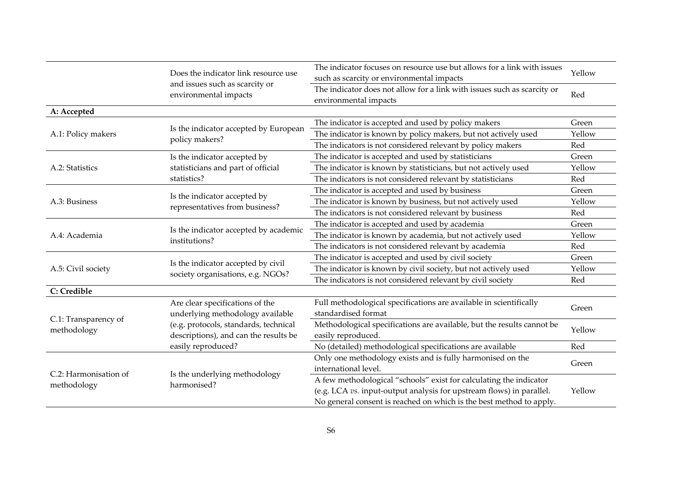|                                                                                                                                                                                                                                                                                                                                                                                                                                                                                                                                                                                                                                                                                                                                                                                                                                                                                                                                                                                                                                                                                                                                                                                                                                                                                                                                                                                                                                                                                                                                                                                                                                                                                                                                                                                                                                                                        | Does the indicator link resource use | The indicator focuses on resource use but allows for a link with issues                          | Yellow |  |
|------------------------------------------------------------------------------------------------------------------------------------------------------------------------------------------------------------------------------------------------------------------------------------------------------------------------------------------------------------------------------------------------------------------------------------------------------------------------------------------------------------------------------------------------------------------------------------------------------------------------------------------------------------------------------------------------------------------------------------------------------------------------------------------------------------------------------------------------------------------------------------------------------------------------------------------------------------------------------------------------------------------------------------------------------------------------------------------------------------------------------------------------------------------------------------------------------------------------------------------------------------------------------------------------------------------------------------------------------------------------------------------------------------------------------------------------------------------------------------------------------------------------------------------------------------------------------------------------------------------------------------------------------------------------------------------------------------------------------------------------------------------------------------------------------------------------------------------------------------------------|--------------------------------------|--------------------------------------------------------------------------------------------------|--------|--|
|                                                                                                                                                                                                                                                                                                                                                                                                                                                                                                                                                                                                                                                                                                                                                                                                                                                                                                                                                                                                                                                                                                                                                                                                                                                                                                                                                                                                                                                                                                                                                                                                                                                                                                                                                                                                                                                                        | environmental impacts                | The indicator does not allow for a link with issues such as scarcity or<br>environmental impacts | Red    |  |
| A: Accepted                                                                                                                                                                                                                                                                                                                                                                                                                                                                                                                                                                                                                                                                                                                                                                                                                                                                                                                                                                                                                                                                                                                                                                                                                                                                                                                                                                                                                                                                                                                                                                                                                                                                                                                                                                                                                                                            |                                      |                                                                                                  |        |  |
|                                                                                                                                                                                                                                                                                                                                                                                                                                                                                                                                                                                                                                                                                                                                                                                                                                                                                                                                                                                                                                                                                                                                                                                                                                                                                                                                                                                                                                                                                                                                                                                                                                                                                                                                                                                                                                                                        |                                      | The indicator is accepted and used by policy makers                                              | Green  |  |
| A.1: Policy makers                                                                                                                                                                                                                                                                                                                                                                                                                                                                                                                                                                                                                                                                                                                                                                                                                                                                                                                                                                                                                                                                                                                                                                                                                                                                                                                                                                                                                                                                                                                                                                                                                                                                                                                                                                                                                                                     |                                      | The indicator is known by policy makers, but not actively used                                   | Yellow |  |
| such as scarcity or environmental impacts<br>and issues such as scarcity or<br>Is the indicator accepted by European<br>policy makers?<br>The indicators is not considered relevant by policy makers<br>The indicator is accepted and used by statisticians<br>Is the indicator accepted by<br>The indicator is known by statisticians, but not actively used<br>A.2: Statistics<br>statisticians and part of official<br>statistics?<br>The indicators is not considered relevant by statisticians<br>The indicator is accepted and used by business<br>Is the indicator accepted by<br>A.3: Business<br>The indicator is known by business, but not actively used<br>representatives from business?<br>The indicators is not considered relevant by business<br>The indicator is accepted and used by academia<br>Is the indicator accepted by academic<br>The indicator is known by academia, but not actively used<br>A.4: Academia<br>institutions?<br>The indicators is not considered relevant by academia<br>The indicator is accepted and used by civil society<br>Is the indicator accepted by civil<br>The indicator is known by civil society, but not actively used<br>A.5: Civil society<br>society organisations, e.g. NGOs?<br>The indicators is not considered relevant by civil society<br>C: Credible<br>Full methodological specifications are available in scientifically<br>Are clear specifications of the<br>standardised format<br>underlying methodology available<br>C.1: Transparency of<br>Methodological specifications are available, but the results cannot be<br>(e.g. protocols, standards, technical<br>methodology<br>descriptions), and can the results be<br>easily reproduced.<br>easily reproduced?<br>No (detailed) methodological specifications are available<br>Only one methodology exists and is fully harmonised on the | Red                                  |                                                                                                  |        |  |
|                                                                                                                                                                                                                                                                                                                                                                                                                                                                                                                                                                                                                                                                                                                                                                                                                                                                                                                                                                                                                                                                                                                                                                                                                                                                                                                                                                                                                                                                                                                                                                                                                                                                                                                                                                                                                                                                        |                                      |                                                                                                  | Green  |  |
|                                                                                                                                                                                                                                                                                                                                                                                                                                                                                                                                                                                                                                                                                                                                                                                                                                                                                                                                                                                                                                                                                                                                                                                                                                                                                                                                                                                                                                                                                                                                                                                                                                                                                                                                                                                                                                                                        |                                      |                                                                                                  | Yellow |  |
|                                                                                                                                                                                                                                                                                                                                                                                                                                                                                                                                                                                                                                                                                                                                                                                                                                                                                                                                                                                                                                                                                                                                                                                                                                                                                                                                                                                                                                                                                                                                                                                                                                                                                                                                                                                                                                                                        |                                      |                                                                                                  | Red    |  |
|                                                                                                                                                                                                                                                                                                                                                                                                                                                                                                                                                                                                                                                                                                                                                                                                                                                                                                                                                                                                                                                                                                                                                                                                                                                                                                                                                                                                                                                                                                                                                                                                                                                                                                                                                                                                                                                                        |                                      |                                                                                                  | Green  |  |
|                                                                                                                                                                                                                                                                                                                                                                                                                                                                                                                                                                                                                                                                                                                                                                                                                                                                                                                                                                                                                                                                                                                                                                                                                                                                                                                                                                                                                                                                                                                                                                                                                                                                                                                                                                                                                                                                        |                                      |                                                                                                  | Yellow |  |
|                                                                                                                                                                                                                                                                                                                                                                                                                                                                                                                                                                                                                                                                                                                                                                                                                                                                                                                                                                                                                                                                                                                                                                                                                                                                                                                                                                                                                                                                                                                                                                                                                                                                                                                                                                                                                                                                        |                                      |                                                                                                  | Red    |  |
|                                                                                                                                                                                                                                                                                                                                                                                                                                                                                                                                                                                                                                                                                                                                                                                                                                                                                                                                                                                                                                                                                                                                                                                                                                                                                                                                                                                                                                                                                                                                                                                                                                                                                                                                                                                                                                                                        |                                      |                                                                                                  | Green  |  |
|                                                                                                                                                                                                                                                                                                                                                                                                                                                                                                                                                                                                                                                                                                                                                                                                                                                                                                                                                                                                                                                                                                                                                                                                                                                                                                                                                                                                                                                                                                                                                                                                                                                                                                                                                                                                                                                                        |                                      |                                                                                                  | Yellow |  |
|                                                                                                                                                                                                                                                                                                                                                                                                                                                                                                                                                                                                                                                                                                                                                                                                                                                                                                                                                                                                                                                                                                                                                                                                                                                                                                                                                                                                                                                                                                                                                                                                                                                                                                                                                                                                                                                                        |                                      |                                                                                                  | Red    |  |
|                                                                                                                                                                                                                                                                                                                                                                                                                                                                                                                                                                                                                                                                                                                                                                                                                                                                                                                                                                                                                                                                                                                                                                                                                                                                                                                                                                                                                                                                                                                                                                                                                                                                                                                                                                                                                                                                        |                                      |                                                                                                  | Green  |  |
|                                                                                                                                                                                                                                                                                                                                                                                                                                                                                                                                                                                                                                                                                                                                                                                                                                                                                                                                                                                                                                                                                                                                                                                                                                                                                                                                                                                                                                                                                                                                                                                                                                                                                                                                                                                                                                                                        |                                      |                                                                                                  | Yellow |  |
|                                                                                                                                                                                                                                                                                                                                                                                                                                                                                                                                                                                                                                                                                                                                                                                                                                                                                                                                                                                                                                                                                                                                                                                                                                                                                                                                                                                                                                                                                                                                                                                                                                                                                                                                                                                                                                                                        |                                      |                                                                                                  | Red    |  |
|                                                                                                                                                                                                                                                                                                                                                                                                                                                                                                                                                                                                                                                                                                                                                                                                                                                                                                                                                                                                                                                                                                                                                                                                                                                                                                                                                                                                                                                                                                                                                                                                                                                                                                                                                                                                                                                                        |                                      |                                                                                                  |        |  |
|                                                                                                                                                                                                                                                                                                                                                                                                                                                                                                                                                                                                                                                                                                                                                                                                                                                                                                                                                                                                                                                                                                                                                                                                                                                                                                                                                                                                                                                                                                                                                                                                                                                                                                                                                                                                                                                                        |                                      |                                                                                                  | Green  |  |
|                                                                                                                                                                                                                                                                                                                                                                                                                                                                                                                                                                                                                                                                                                                                                                                                                                                                                                                                                                                                                                                                                                                                                                                                                                                                                                                                                                                                                                                                                                                                                                                                                                                                                                                                                                                                                                                                        |                                      |                                                                                                  |        |  |
|                                                                                                                                                                                                                                                                                                                                                                                                                                                                                                                                                                                                                                                                                                                                                                                                                                                                                                                                                                                                                                                                                                                                                                                                                                                                                                                                                                                                                                                                                                                                                                                                                                                                                                                                                                                                                                                                        |                                      |                                                                                                  | Yellow |  |
|                                                                                                                                                                                                                                                                                                                                                                                                                                                                                                                                                                                                                                                                                                                                                                                                                                                                                                                                                                                                                                                                                                                                                                                                                                                                                                                                                                                                                                                                                                                                                                                                                                                                                                                                                                                                                                                                        |                                      |                                                                                                  |        |  |
|                                                                                                                                                                                                                                                                                                                                                                                                                                                                                                                                                                                                                                                                                                                                                                                                                                                                                                                                                                                                                                                                                                                                                                                                                                                                                                                                                                                                                                                                                                                                                                                                                                                                                                                                                                                                                                                                        |                                      |                                                                                                  | Red    |  |
|                                                                                                                                                                                                                                                                                                                                                                                                                                                                                                                                                                                                                                                                                                                                                                                                                                                                                                                                                                                                                                                                                                                                                                                                                                                                                                                                                                                                                                                                                                                                                                                                                                                                                                                                                                                                                                                                        |                                      |                                                                                                  | Green  |  |
| C.2: Harmonisation of                                                                                                                                                                                                                                                                                                                                                                                                                                                                                                                                                                                                                                                                                                                                                                                                                                                                                                                                                                                                                                                                                                                                                                                                                                                                                                                                                                                                                                                                                                                                                                                                                                                                                                                                                                                                                                                  | Is the underlying methodology        | international level.                                                                             |        |  |
| methodology                                                                                                                                                                                                                                                                                                                                                                                                                                                                                                                                                                                                                                                                                                                                                                                                                                                                                                                                                                                                                                                                                                                                                                                                                                                                                                                                                                                                                                                                                                                                                                                                                                                                                                                                                                                                                                                            | harmonised?                          | A few methodological "schools" exist for calculating the indicator                               |        |  |
|                                                                                                                                                                                                                                                                                                                                                                                                                                                                                                                                                                                                                                                                                                                                                                                                                                                                                                                                                                                                                                                                                                                                                                                                                                                                                                                                                                                                                                                                                                                                                                                                                                                                                                                                                                                                                                                                        |                                      | (e.g. LCA vs. input-output analysis for upstream flows) in parallel.                             | Yellow |  |
|                                                                                                                                                                                                                                                                                                                                                                                                                                                                                                                                                                                                                                                                                                                                                                                                                                                                                                                                                                                                                                                                                                                                                                                                                                                                                                                                                                                                                                                                                                                                                                                                                                                                                                                                                                                                                                                                        |                                      | No general consent is reached on which is the best method to apply.                              |        |  |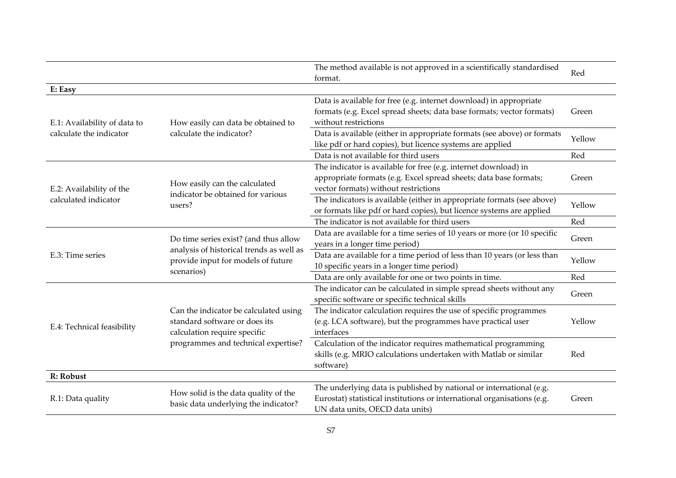|                              |                                                                                                                                               | The method available is not approved in a scientifically standardised<br>format.                                                                                                  | Red    |
|------------------------------|-----------------------------------------------------------------------------------------------------------------------------------------------|-----------------------------------------------------------------------------------------------------------------------------------------------------------------------------------|--------|
| E: Easy                      |                                                                                                                                               |                                                                                                                                                                                   |        |
| E.1: Availability of data to | How easily can data be obtained to<br>calculate the indicator?                                                                                | Data is available for free (e.g. internet download) in appropriate<br>formats (e.g. Excel spread sheets; data base formats; vector formats)<br>without restrictions               | Green  |
| calculate the indicator      |                                                                                                                                               | Data is available (either in appropriate formats (see above) or formats<br>like pdf or hard copies), but licence systems are applied                                              | Yellow |
|                              |                                                                                                                                               | Data is not available for third users                                                                                                                                             | Red    |
| E.2: Availability of the     | How easily can the calculated                                                                                                                 | The indicator is available for free (e.g. internet download) in<br>appropriate formats (e.g. Excel spread sheets; data base formats;<br>vector formats) without restrictions      | Green  |
| calculated indicator         | indicator be obtained for various<br>users?                                                                                                   | The indicators is available (either in appropriate formats (see above)<br>or formats like pdf or hard copies), but licence systems are applied                                    | Yellow |
|                              |                                                                                                                                               | The indicator is not available for third users                                                                                                                                    | Red    |
|                              | Do time series exist? (and thus allow<br>analysis of historical trends as well as<br>provide input for models of future                       | Data are available for a time series of 10 years or more (or 10 specific<br>years in a longer time period)                                                                        | Green  |
| E.3: Time series             |                                                                                                                                               | Data are available for a time period of less than 10 years (or less than<br>10 specific years in a longer time period)                                                            | Yellow |
| scenarios)                   |                                                                                                                                               | Data are only available for one or two points in time.                                                                                                                            | Red    |
|                              |                                                                                                                                               | The indicator can be calculated in simple spread sheets without any<br>specific software or specific technical skills                                                             | Green  |
| E.4: Technical feasibility   | Can the indicator be calculated using<br>standard software or does its<br>calculation require specific<br>programmes and technical expertise? | The indicator calculation requires the use of specific programmes<br>(e.g. LCA software), but the programmes have practical user<br>interfaces                                    | Yellow |
|                              |                                                                                                                                               | Calculation of the indicator requires mathematical programming<br>skills (e.g. MRIO calculations undertaken with Matlab or similar<br>software)                                   | Red    |
| R: Robust                    |                                                                                                                                               |                                                                                                                                                                                   |        |
| R.1: Data quality            | How solid is the data quality of the<br>basic data underlying the indicator?                                                                  | The underlying data is published by national or international (e.g.<br>Eurostat) statistical institutions or international organisations (e.g.<br>UN data units, OECD data units) | Green  |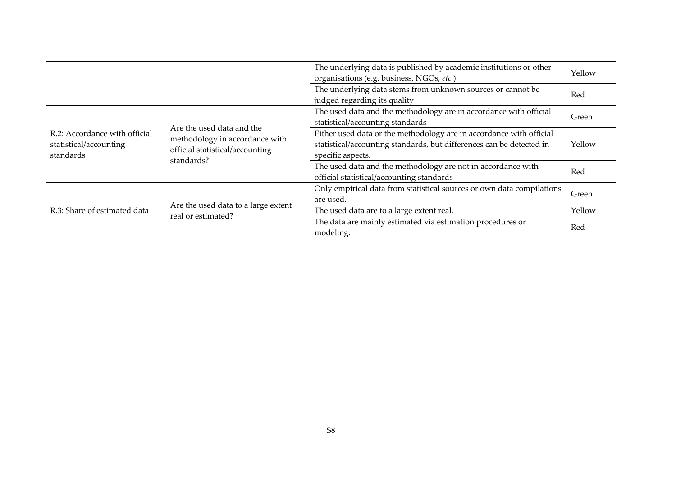|                                                                      |                                                                                                              | The underlying data is published by academic institutions or other<br>organisations (e.g. business, NGOs, etc.)                                                  | Yellow |
|----------------------------------------------------------------------|--------------------------------------------------------------------------------------------------------------|------------------------------------------------------------------------------------------------------------------------------------------------------------------|--------|
|                                                                      |                                                                                                              | The underlying data stems from unknown sources or cannot be<br>judged regarding its quality                                                                      | Red    |
|                                                                      |                                                                                                              | The used data and the methodology are in accordance with official<br>statistical/accounting standards                                                            | Green  |
| R.2: Accordance with official<br>statistical/accounting<br>standards | Are the used data and the<br>methodology in accordance with<br>official statistical/accounting<br>standards? | Either used data or the methodology are in accordance with official<br>statistical/accounting standards, but differences can be detected in<br>specific aspects. | Yellow |
|                                                                      |                                                                                                              | The used data and the methodology are not in accordance with<br>official statistical/accounting standards                                                        | Red    |
|                                                                      | Are the used data to a large extent<br>real or estimated?                                                    | Only empirical data from statistical sources or own data compilations<br>are used.                                                                               | Green  |
| R.3: Share of estimated data                                         |                                                                                                              | The used data are to a large extent real.                                                                                                                        | Yellow |
|                                                                      |                                                                                                              | The data are mainly estimated via estimation procedures or<br>modeling.                                                                                          | Red    |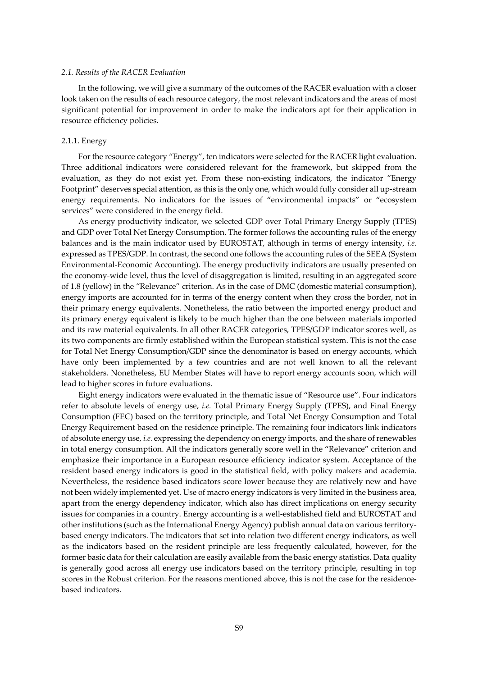#### *2.1. Results of the RACER Evaluation*

In the following, we will give a summary of the outcomes of the RACER evaluation with a closer look taken on the results of each resource category, the most relevant indicators and the areas of most significant potential for improvement in order to make the indicators apt for their application in resource efficiency policies.

#### 2.1.1. Energy

For the resource category "Energy", ten indicators were selected for the RACER light evaluation. Three additional indicators were considered relevant for the framework, but skipped from the evaluation, as they do not exist yet. From these non-existing indicators, the indicator "Energy Footprint" deserves special attention, as this is the only one, which would fully consider all up‐stream energy requirements. No indicators for the issues of "environmental impacts" or "ecosystem services" were considered in the energy field.

As energy productivity indicator, we selected GDP over Total Primary Energy Supply (TPES) and GDP over Total Net Energy Consumption. The former follows the accounting rules of the energy balances and is the main indicator used by EUROSTAT, although in terms of energy intensity, *i.e.* expressed as TPES/GDP. In contrast, the second one follows the accounting rules of the SEEA (System Environmental‐Economic Accounting). The energy productivity indicators are usually presented on the economy-wide level, thus the level of disaggregation is limited, resulting in an aggregated score of 1.8 (yellow) in the "Relevance" criterion. As in the case of DMC (domestic material consumption), energy imports are accounted for in terms of the energy content when they cross the border, not in their primary energy equivalents. Nonetheless, the ratio between the imported energy product and its primary energy equivalent is likely to be much higher than the one between materials imported and its raw material equivalents. In all other RACER categories, TPES/GDP indicator scores well, as its two components are firmly established within the European statistical system. This is not the case for Total Net Energy Consumption/GDP since the denominator is based on energy accounts, which have only been implemented by a few countries and are not well known to all the relevant stakeholders. Nonetheless, EU Member States will have to report energy accounts soon, which will lead to higher scores in future evaluations.

Eight energy indicators were evaluated in the thematic issue of "Resource use". Four indicators refer to absolute levels of energy use, *i.e.* Total Primary Energy Supply (TPES), and Final Energy Consumption (FEC) based on the territory principle, and Total Net Energy Consumption and Total Energy Requirement based on the residence principle. The remaining four indicators link indicators of absolute energy use, *i.e.* expressing the dependency on energy imports, and the share ofrenewables in total energy consumption. All the indicators generally score well in the "Relevance" criterion and emphasize their importance in a European resource efficiency indicator system. Acceptance of the resident based energy indicators is good in the statistical field, with policy makers and academia. Nevertheless, the residence based indicators score lower because they are relatively new and have not been widely implemented yet. Use of macro energy indicators is very limited in the business area, apart from the energy dependency indicator, which also has direct implications on energy security issues for companies in a country. Energy accounting is a well‐established field and EUROSTAT and other institutions (such as the International Energy Agency) publish annual data on various territory‐ based energy indicators. The indicators that set into relation two different energy indicators, as well as the indicators based on the resident principle are less frequently calculated, however, for the former basic data for their calculation are easily available from the basic energy statistics. Data quality is generally good across all energy use indicators based on the territory principle, resulting in top scores in the Robust criterion. For the reasons mentioned above, this is not the case for the residencebased indicators.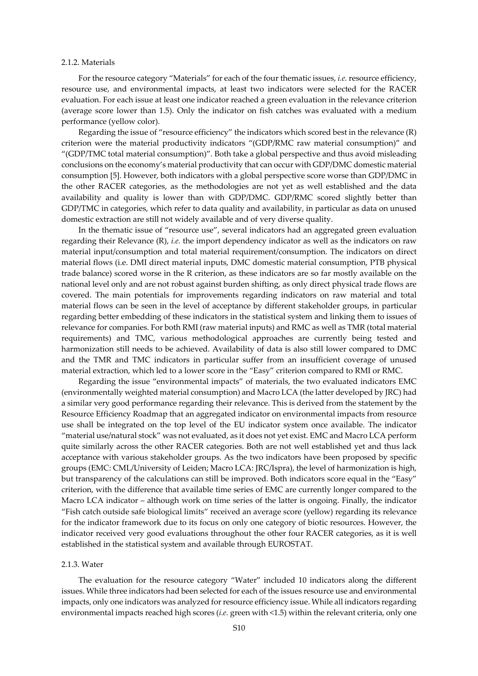#### 2.1.2. Materials

For the resource category "Materials" for each of the four thematic issues, *i.e.* resource efficiency, resource use, and environmental impacts, at least two indicators were selected for the RACER evaluation. For each issue at least one indicator reached a green evaluation in the relevance criterion (average score lower than 1.5). Only the indicator on fish catches was evaluated with a medium performance (yellow color).

Regarding the issue of "resource efficiency" the indicators which scored best in the relevance (R) criterion were the material productivity indicators "(GDP/RMC raw material consumption)" and "(GDP/TMC total material consumption)". Both take a global perspective and thus avoid misleading conclusions on the economy's material productivity that can occur with GDP/DMC domestic material consumption [5]. However, both indicators with a global perspective score worse than GDP/DMC in the other RACER categories, as the methodologies are not yet as well established and the data availability and quality is lower than with GDP/DMC. GDP/RMC scored slightly better than GDP/TMC in categories, which refer to data quality and availability, in particular as data on unused domestic extraction are still not widely available and of very diverse quality.

In the thematic issue of "resource use", several indicators had an aggregated green evaluation regarding their Relevance (R), *i.e.* the import dependency indicator as well as the indicators on raw material input/consumption and total material requirement/consumption. The indicators on direct material flows (i.e. DMI direct material inputs, DMC domestic material consumption, PTB physical trade balance) scored worse in the R criterion, as these indicators are so far mostly available on the national level only and are not robust against burden shifting, as only direct physical trade flows are covered. The main potentials for improvements regarding indicators on raw material and total material flows can be seen in the level of acceptance by different stakeholder groups, in particular regarding better embedding of these indicators in the statistical system and linking them to issues of relevance for companies. For both RMI (raw material inputs) and RMC as well as TMR (total material requirements) and TMC, various methodological approaches are currently being tested and harmonization still needs to be achieved. Availability of data is also still lower compared to DMC and the TMR and TMC indicators in particular suffer from an insufficient coverage of unused material extraction, which led to a lower score in the "Easy" criterion compared to RMI or RMC.

Regarding the issue "environmental impacts" of materials, the two evaluated indicators EMC (environmentally weighted material consumption) and Macro LCA (the latter developed by JRC) had a similar very good performance regarding their relevance. This is derived from the statement by the Resource Efficiency Roadmap that an aggregated indicator on environmental impacts from resource use shall be integrated on the top level of the EU indicator system once available. The indicator "material use/natural stock" was not evaluated, as it does not yet exist. EMC and Macro LCA perform quite similarly across the other RACER categories. Both are not well established yet and thus lack acceptance with various stakeholder groups. As the two indicators have been proposed by specific groups (EMC: CML/University of Leiden; Macro LCA: JRC/Ispra), the level of harmonization is high, but transparency of the calculations can still be improved. Both indicators score equal in the "Easy" criterion, with the difference that available time series of EMC are currently longer compared to the Macro LCA indicator – although work on time series of the latter is ongoing. Finally, the indicator "Fish catch outside safe biological limits" received an average score (yellow) regarding its relevance for the indicator framework due to its focus on only one category of biotic resources. However, the indicator received very good evaluations throughout the other four RACER categories, as it is well established in the statistical system and available through EUROSTAT.

#### 2.1.3. Water

The evaluation for the resource category "Water" included 10 indicators along the different issues. While three indicators had been selected for each of the issues resource use and environmental impacts, only one indicators was analyzed forresource efficiency issue. While all indicators regarding environmental impacts reached high scores (*i.e.* green with <1.5) within the relevant criteria, only one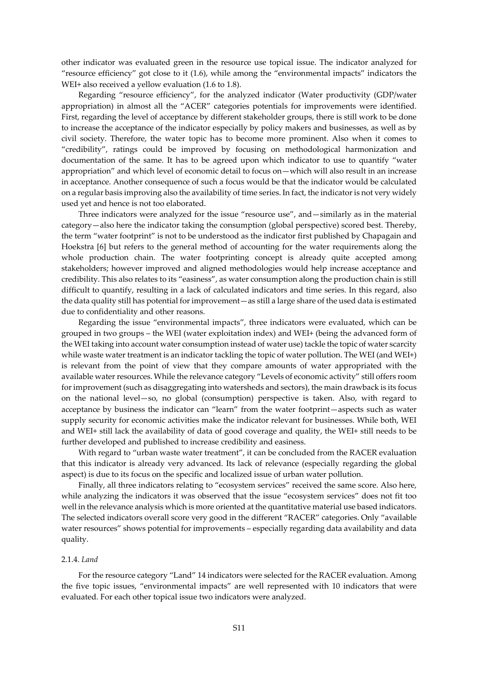other indicator was evaluated green in the resource use topical issue. The indicator analyzed for "resource efficiency" got close to it (1.6), while among the "environmental impacts" indicators the WEI+ also received a yellow evaluation  $(1.6 \text{ to } 1.8)$ .

Regarding "resource efficiency", for the analyzed indicator (Water productivity (GDP/water appropriation) in almost all the "ACER" categories potentials for improvements were identified. First, regarding the level of acceptance by different stakeholder groups, there is still work to be done to increase the acceptance of the indicator especially by policy makers and businesses, as well as by civil society. Therefore, the water topic has to become more prominent. Also when it comes to "credibility", ratings could be improved by focusing on methodological harmonization and documentation of the same. It has to be agreed upon which indicator to use to quantify "water appropriation" and which level of economic detail to focus on—which will also result in an increase in acceptance. Another consequence of such a focus would be that the indicator would be calculated on a regular basis improving also the availability of time series. In fact, the indicator is not very widely used yet and hence is not too elaborated.

Three indicators were analyzed for the issue "resource use", and—similarly as in the material category—also here the indicator taking the consumption (global perspective) scored best. Thereby, the term "water footprint" is not to be understood as the indicator first published by Chapagain and Hoekstra [6] but refers to the general method of accounting for the water requirements along the whole production chain. The water footprinting concept is already quite accepted among stakeholders; however improved and aligned methodologies would help increase acceptance and credibility. This also relates to its "easiness", as water consumption along the production chain is still difficult to quantify, resulting in a lack of calculated indicators and time series. In this regard, also the data quality still has potential for improvement—as still a large share of the used data is estimated due to confidentiality and other reasons.

Regarding the issue "environmental impacts", three indicators were evaluated, which can be grouped in two groups – the WEI (water exploitation index) and WEI+ (being the advanced form of the WEI taking into account water consumption instead of water use) tackle the topic of water scarcity while waste water treatment is an indicator tackling the topic of water pollution. The WEI (and WEI+) is relevant from the point of view that they compare amounts of water appropriated with the available water resources. While the relevance category "Levels of economic activity" still offers room for improvement (such as disaggregating into watersheds and sectors), the main drawback is its focus on the national level—so, no global (consumption) perspective is taken. Also, with regard to acceptance by business the indicator can "learn" from the water footprint—aspects such as water supply security for economic activities make the indicator relevant for businesses. While both, WEI and WEI+ still lack the availability of data of good coverage and quality, the WEI+ still needs to be further developed and published to increase credibility and easiness.

With regard to "urban waste water treatment", it can be concluded from the RACER evaluation that this indicator is already very advanced. Its lack of relevance (especially regarding the global aspect) is due to its focus on the specific and localized issue of urban water pollution.

Finally, all three indicators relating to "ecosystem services" received the same score. Also here, while analyzing the indicators it was observed that the issue "ecosystem services" does not fit too well in the relevance analysis which is more oriented at the quantitative material use based indicators. The selected indicators overall score very good in the different "RACER" categories. Only "available water resources" shows potential for improvements – especially regarding data availability and data quality.

### 2.1.4. *Land*

For the resource category "Land" 14 indicators were selected for the RACER evaluation. Among the five topic issues, "environmental impacts" are well represented with 10 indicators that were evaluated. For each other topical issue two indicators were analyzed.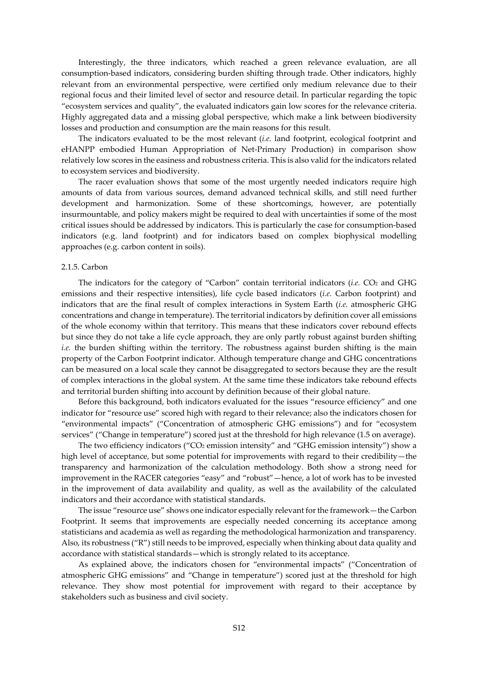Interestingly, the three indicators, which reached a green relevance evaluation, are all consumption‐based indicators, considering burden shifting through trade. Other indicators, highly relevant from an environmental perspective, were certified only medium relevance due to their regional focus and their limited level of sector and resource detail. In particular regarding the topic "ecosystem services and quality", the evaluated indicators gain low scores for the relevance criteria. Highly aggregated data and a missing global perspective, which make a link between biodiversity losses and production and consumption are the main reasons for this result.

The indicators evaluated to be the most relevant (*i.e.* land footprint, ecological footprint and eHANPP embodied Human Appropriation of Net‐Primary Production) in comparison show relatively low scores in the easiness and robustness criteria. This is also valid for the indicators related to ecosystem services and biodiversity.

The racer evaluation shows that some of the most urgently needed indicators require high amounts of data from various sources, demand advanced technical skills, and still need further development and harmonization. Some of these shortcomings, however, are potentially insurmountable, and policy makers might be required to deal with uncertainties if some of the most critical issues should be addressed by indicators. This is particularly the case for consumption‐based indicators (e.g. land footprint) and for indicators based on complex biophysical modelling approaches (e.g. carbon content in soils).

#### 2.1.5. Carbon

The indicators for the category of "Carbon" contain territorial indicators (*i.e.* CO<sub>2</sub> and GHG emissions and their respective intensities), life cycle based indicators (*i.e.* Carbon footprint) and indicators that are the final result of complex interactions in System Earth (*i.e.* atmospheric GHG concentrations and change in temperature). The territorial indicators by definition cover all emissions of the whole economy within that territory. This means that these indicators cover rebound effects but since they do not take a life cycle approach, they are only partly robust against burden shifting *i.e.* the burden shifting within the territory. The robustness against burden shifting is the main property of the Carbon Footprint indicator. Although temperature change and GHG concentrations can be measured on a local scale they cannot be disaggregated to sectors because they are the result of complex interactions in the global system. At the same time these indicators take rebound effects and territorial burden shifting into account by definition because of their global nature.

Before this background, both indicators evaluated for the issues "resource efficiency" and one indicator for "resource use" scored high with regard to their relevance; also the indicators chosen for "environmental impacts" ("Concentration of atmospheric GHG emissions") and for "ecosystem services" ("Change in temperature") scored just at the threshold for high relevance (1.5 on average).

The two efficiency indicators ( $"CO<sub>2</sub>$  emission intensity" and  $"GHG$  emission intensity") show a high level of acceptance, but some potential for improvements with regard to their credibility—the transparency and harmonization of the calculation methodology. Both show a strong need for improvement in the RACER categories "easy" and "robust"—hence, a lot of work has to be invested in the improvement of data availability and quality, as well as the availability of the calculated indicators and their accordance with statistical standards.

The issue "resource use" shows one indicator especially relevant for the framework - the Carbon Footprint. It seems that improvements are especially needed concerning its acceptance among statisticians and academia as well as regarding the methodological harmonization and transparency. Also, its robustness ("R") still needs to be improved, especially when thinking about data quality and accordance with statistical standards—which is strongly related to its acceptance.

As explained above, the indicators chosen for "environmental impacts" ("Concentration of atmospheric GHG emissions" and "Change in temperature") scored just at the threshold for high relevance. They show most potential for improvement with regard to their acceptance by stakeholders such as business and civil society.